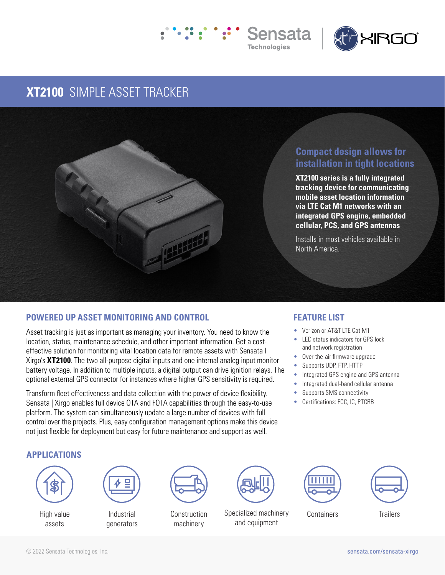



# **XT2100** SIMPLE ASSET TRACKER



## **Compact design allows for installation in tight locations**

**XT2100 series is a fully integrated tracking device for communicating mobile asset location information via LTE Cat M1 networks with an integrated GPS engine, embedded cellular, PCS, and GPS antennas**

Installs in most vehicles available in North America.

### **POWERED UP ASSET MONITORING AND CONTROL**

Asset tracking is just as important as managing your inventory. You need to know the location, status, maintenance schedule, and other important information. Get a costeffective solution for monitoring vital location data for remote assets with Sensata I Xirgo's **XT2100**. The two all-purpose digital inputs and one internal analog input monitor battery voltage. In addition to multiple inputs, a digital output can drive ignition relays. The optional external GPS connector for instances where higher GPS sensitivity is required.

Transform fleet effectiveness and data collection with the power of device flexibility. Sensata | Xirgo enables full device OTA and FOTA capabilities through the easy-to-use platform. The system can simultaneously update a large number of devices with full control over the projects. Plus, easy configuration management options make this device not just flexible for deployment but easy for future maintenance and support as well.

### **FEATURE LIST**

- Verizon or AT&T LTE Cat M1
- LED status indicators for GPS lock and network registration
- Over-the-air firmware upgrade
- Supports UDP, FTP, HTTP
- Integrated GPS engine and GPS antenna
- Integrated dual-band cellular antenna
- Supports SMS connectivity
- Certifications: FCC, IC, PTCRB

#### **APPLICATIONS**



High value assets



Industrial generators



machinery



Construction Specialized machinery Containers Trailers and equipment